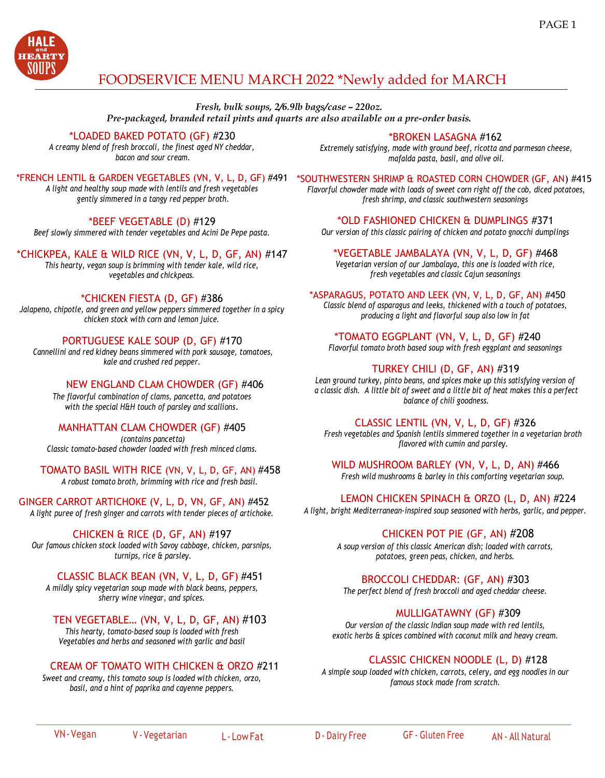

# FOODSERVICE MENU MARCH 2022 \*Newly added for MARCH

*Fresh, bulk soups, 2/6.9lb bags/case – 220oz. Pre-packaged, branded retail pints and quarts are also available on a pre-order basis.*

#### \*LOADED BAKED POTATO (GF) #230

*A creamy blend of fresh broccoli, the finest aged NY cheddar, bacon and sour cream.*

*A light and healthy soup made with lentils and fresh vegetables gently simmered in a tangy red pepper broth.*

#### \*BEEF VEGETABLE (D) #129

*Beef slowly simmered with tender vegetables and Acini De Pepe pasta.*

# \*CHICKPEA, KALE & WILD RICE (VN, V, L, D, GF, AN) #147

*This hearty, vegan soup is brimming with tender kale, wild rice, vegetables and chickpeas.*

# \*CHICKEN FIESTA (D, GF) #386

*Jalapeno, chipotle, and green and yellow peppers simmered together in a spicy chicken stock with corn and lemon juice.*

# PORTUGUESE KALE SOUP (D, GF) #170

*Cannellini and red kidney beans simmered with pork sausage, tomatoes, kale and crushed red pepper.*

#### NEW ENGLAND CLAM CHOWDER (GF) #406

*The flavorful combination of clams, pancetta, and potatoes with the special H&H touch of parsley and scallions*.

#### MANHATTAN CLAM CHOWDER (GF) #405

*(contains pancetta) Classic tomato-based chowder loaded with fresh minced clams.*

TOMATO BASIL WITH RICE (VN, V, L, D, GF, AN) #458 *A robust tomato broth, brimming with rice and fresh basil.*

GINGER CARROT ARTICHOKE (V, L, D, VN, GF, AN) #452 *A light puree of fresh ginger and carrots with tender pieces of artichoke.*

#### CHICKEN & RICE (D, GF, AN) #197

*Our famous chicken stock loaded with Savoy cabbage, chicken, parsnips, turnips, rice & parsley.*

#### CLASSIC BLACK BEAN (VN, V, L, D, GF) #451

*A mildly spicy vegetarian soup made with black beans, peppers, sherry wine vinegar, and spices.*

# TEN VEGETABLE… (VN, V, L, D, GF, AN) #103

*This hearty, tomato-based soup is loaded with fresh Vegetables and herbs and seasoned with garlic and basil*

#### CREAM OF TOMATO WITH CHICKEN & ORZO #211

*Sweet and creamy, this tomato soup is loaded with chicken, orzo, basil, and a hint of paprika and cayenne peppers.*

\*BROKEN LASAGNA #162

*Extremely satisfying, made with ground beef, ricotta and parmesan cheese, mafalda pasta, basil, and olive oil.*

\*FRENCH LENTIL & GARDEN VEGETABLES (VN, V, L, D, GF) #491 \*SOUTHWESTERN SHRIMP & ROASTED CORN CHOWDER (GF, AN) #415

*Flavorful chowder made with loads of sweet corn right off the cob, diced potatoes, fresh shrimp, and classic southwestern seasonings*

\*OLD FASHIONED CHICKEN & DUMPLINGS #371 *Our version of this classic pairing of chicken and potato gnocchi dumplings*

\*VEGETABLE JAMBALAYA (VN, V, L, D, GF) #468 *Vegetarian version of our Jambalaya, this one is loaded with rice, fresh vegetables and classic Cajun seasonings* 

#### \*ASPARAGUS, POTATO AND LEEK (VN, V, L, D, GF, AN) #450

*Classic blend of asparagus and leeks, thickened with a touch of potatoes, producing a light and flavorful soup also low in fat* 

\*TOMATO EGGPLANT (VN, V, L, D, GF) #240

*Flavorful tomato broth based soup with fresh eggplant and seasonings*

# TURKEY CHILI (D, GF, AN) #319

*Lean ground turkey, pinto beans, and spices make up this satisfying version of a classic dish. A little bit of sweet and a little bit of heat makes this a perfect balance of chili goodness.*

#### CLASSIC LENTIL (VN, V, L, D, GF) #326

*Fresh vegetables and Spanish lentils simmered together in a vegetarian broth flavored with cumin and parsley.*

WILD MUSHROOM BARLEY (VN, V, L, D, AN) #466

*Fresh wild mushrooms & barley in this comforting vegetarian soup.*

# LEMON CHICKEN SPINACH & ORZO (L, D, AN) #224

*A light, bright Mediterranean-inspired soup seasoned with herbs, garlic, and pepper.*

#### CHICKEN POT PIE (GF, AN) #208

*A soup version of this classic American dish; loaded with carrots, potatoes, green peas, chicken, and herbs.*

#### BROCCOLI CHEDDAR: (GF, AN) #303

*The perfect blend of fresh broccoli and aged cheddar cheese.*

#### MULLIGATAWNY (GF) #309

*Our version of the classic Indian soup made with red lentils, exotic herbs & spices combined with coconut milk and heavy cream.*

#### CLASSIC CHICKEN NOODLE (L, D) #128

*A simple soup loaded with chicken, carrots, celery, and egg noodles in our famous stock made from scratch.*